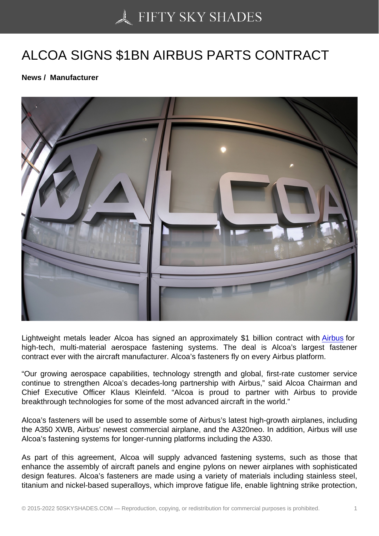## [ALCOA SIGNS \\$1BN A](https://50skyshades.com)IRBUS PARTS CONTRACT

News / Manufacturer

Lightweight metals leader Alcoa has signed an approximately \$1 billion contract with Airbus for high-tech, multi-material aerospace fastening systems. The deal is Alcoa's largest fastener contract ever with the aircraft manufacturer. Alcoa's fasteners fly on every Airbus platform.

"Our growing aerospace capabilities, technology strength and global, first-rate custo[mer serv](http://www.aviatime.com/en/commercial-aviation/commercial-aviation-news/manufacturers)ice continue to strengthen Alcoa's decades-long partnership with Airbus," said Alcoa Chairman and Chief Executive Officer Klaus Kleinfeld. "Alcoa is proud to partner with Airbus to provide breakthrough technologies for some of the most advanced aircraft in the world."

Alcoa's fasteners will be used to assemble some of Airbus's latest high-growth airplanes, including the A350 XWB, Airbus' newest commercial airplane, and the A320neo. In addition, Airbus will use Alcoa's fastening systems for longer-running platforms including the A330.

As part of this agreement, Alcoa will supply advanced fastening systems, such as those that enhance the assembly of aircraft panels and engine pylons on newer airplanes with sophisticated design features. Alcoa's fasteners are made using a variety of materials including stainless steel, titanium and nickel-based superalloys, which improve fatigue life, enable lightning strike protection,